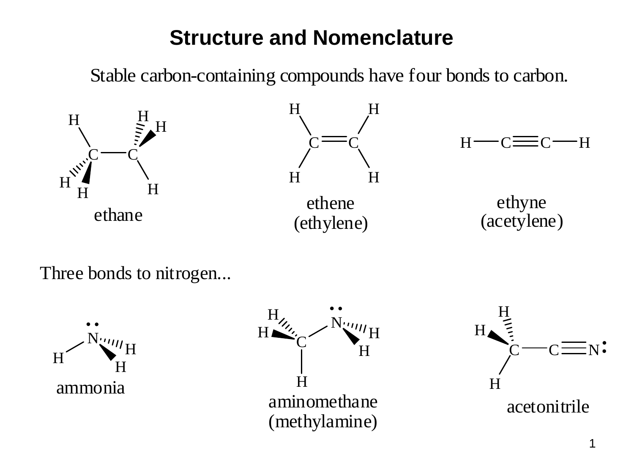## **Structure and Nomenclature**

Stable carbon-containing compounds have four bonds to carbon.



Three bonds to nitrogen...





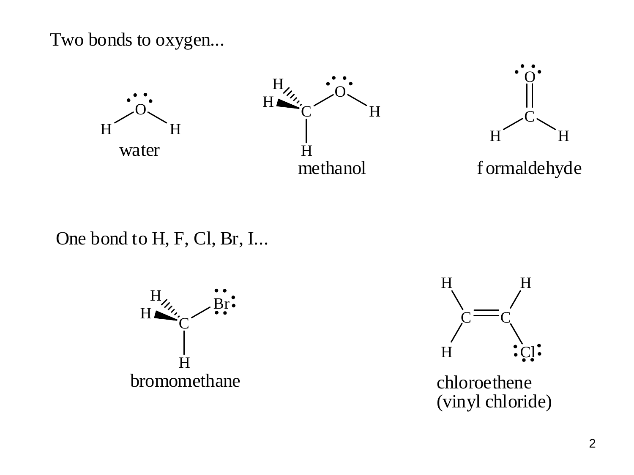Two bonds to oxygen...



## One bond to H, F, Cl, Br, I...





(vinyl chloride)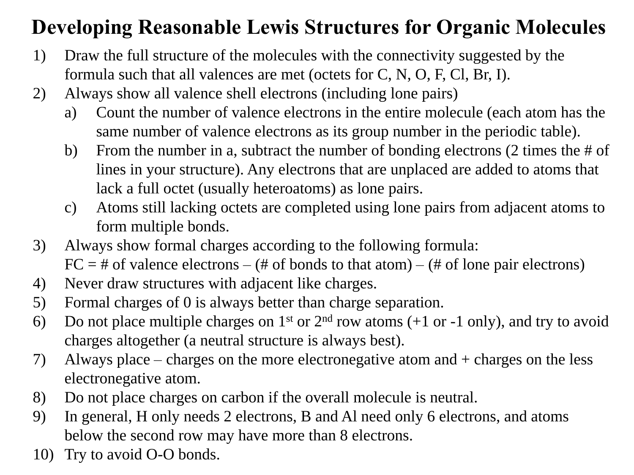## **Developing Reasonable Lewis Structures for Organic Molecules**

- 1) Draw the full structure of the molecules with the connectivity suggested by the formula such that all valences are met (octets for C, N, O, F, Cl, Br, I).
- 2) Always show all valence shell electrons (including lone pairs)
	- a) Count the number of valence electrons in the entire molecule (each atom has the same number of valence electrons as its group number in the periodic table).
	- b) From the number in a, subtract the number of bonding electrons (2 times the # of lines in your structure). Any electrons that are unplaced are added to atoms that lack a full octet (usually heteroatoms) as lone pairs.
	- c) Atoms still lacking octets are completed using lone pairs from adjacent atoms to form multiple bonds.
- 3) Always show formal charges according to the following formula:  $FC = #$  of valence electrons – (# of bonds to that atom) – (# of lone pair electrons)
- 4) Never draw structures with adjacent like charges.
- 5) Formal charges of 0 is always better than charge separation.
- 6) Do not place multiple charges on  $1<sup>st</sup>$  or  $2<sup>nd</sup>$  row atoms (+1 or -1 only), and try to avoid charges altogether (a neutral structure is always best).
- 7) Always place charges on the more electronegative atom and + charges on the less electronegative atom.
- 8) Do not place charges on carbon if the overall molecule is neutral.
- 9) In general, H only needs 2 electrons, B and Al need only 6 electrons, and atoms below the second row may have more than 8 electrons.
- 10) Try to avoid O-O bonds.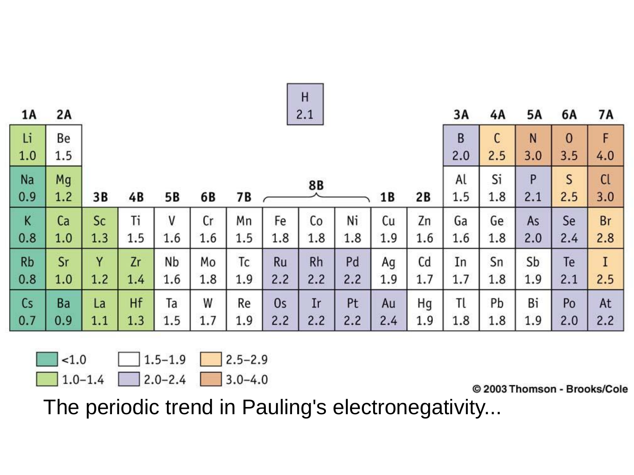|     |     |     |     |     |     |     |     | H         |     |     |     |     |     |     |          |      |
|-----|-----|-----|-----|-----|-----|-----|-----|-----------|-----|-----|-----|-----|-----|-----|----------|------|
| 1A  | 2A  | 2.1 |     |     |     |     |     |           |     |     | 3A  | 4A  | 5Α  | 6A  | 7A       |      |
| Li  | Be  |     |     |     |     |     |     |           |     |     |     | B   | С   | N   | $\bf{0}$ | F    |
| 1.0 | 1.5 |     |     |     |     |     |     |           |     |     |     | 2.0 | 2.5 | 3.0 | 3.5      | 4.0  |
| Na  | Mg  |     |     |     |     |     |     | 8B        |     |     |     | Al  | Si  | P   | S        | $CI$ |
| 0.9 | 1.2 | 3B  | 4B  | 5Β  | 6B  | 7 B |     |           |     | 1 B | 2B  | 1.5 | 1.8 | 2.1 | 2.5      | 3.0  |
| K   | Ca  | Sc  | Ti  | V   | Cr  | Mn  | Fe  | Co        | Ni  | Cu  | Zn  | Ga  | Ge  | As  | Se       | Br   |
| 0.8 | 1.0 | 1.3 | 1.5 | 1.6 | 1.6 | 1.5 | 1.8 | 1.8       | 1.8 | 1.9 | 1.6 | 1.6 | 1.8 | 2.0 | 2.4      | 2.8  |
| Rb  | Sr  | Y   | Zr  | Nb  | Mo  | Тc  | Ru  | <b>Rh</b> | Pd  | Ag  | Cd  | In  | Sn  | Sb  | Te       | I    |
| 0.8 | 1.0 | 1.2 | 1.4 | 1.6 | 1.8 | 1.9 | 2.2 | 2.2       | 2.2 | 1.9 | 1.7 | 1.7 | 1.8 | 1.9 | 2.1      | 2.5  |
| Cs  | Ba  | La  | Hf  | Ta  | W   | Re  | 0s  | Ir        | Pt  | Au  | Hg  | Τl  | Рb  | Bi  | Po       | At   |
| 0.7 | 0.9 | 1.1 | 1.3 | 1.5 | 1.7 | 1.9 | 2.2 | 2.2       | 2.2 | 2.4 | 1.9 | 1.8 | 1.8 | 1.9 | 2.0      | 2.2  |

$$
\begin{array}{c|c|c|c|c|c} & & & 1.5-1.9 & & 2.5-2.9 \\ \hline & 1.0-1.4 & & 2.0-2.4 & & 3.0-4.0 \\ \hline \end{array}
$$

 $L.0 - L.4$ 

© 2003 Thomson - Brooks/Cole

The periodic trend in Pauling's electronegativity...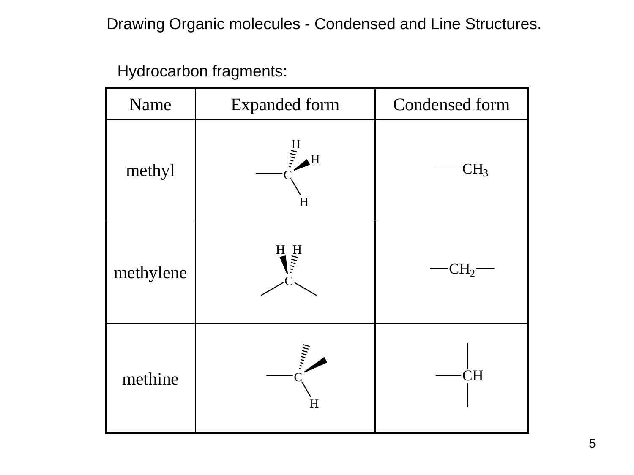Drawing Organic molecules - Condensed and Line Structures.

Hydrocarbon fragments:

| Name      | <b>Expanded form</b>                 | Condensed form  |
|-----------|--------------------------------------|-----------------|
| methyl    | $\frac{H}{\sum_{i=1}^{n}}$<br>H<br>H | CH <sub>3</sub> |
| methylene | H<br>H<br>H                          | $CH_2$          |
| methine   | Inna,<br>H                           | СH              |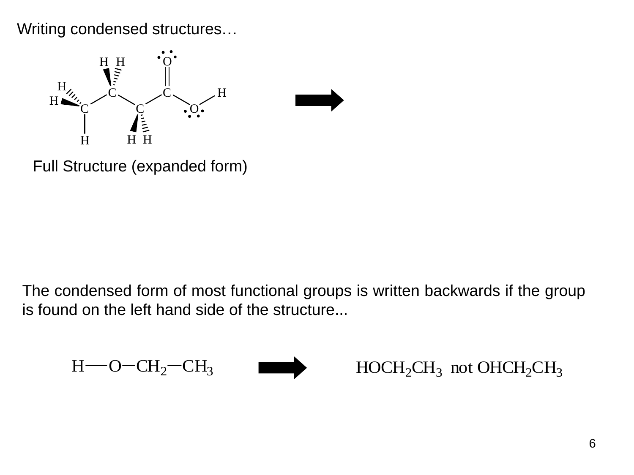Writing condensed structures…



Full Structure (expanded form)

The condensed form of most functional groups is written backwards if the group is found on the left hand side of the structure...

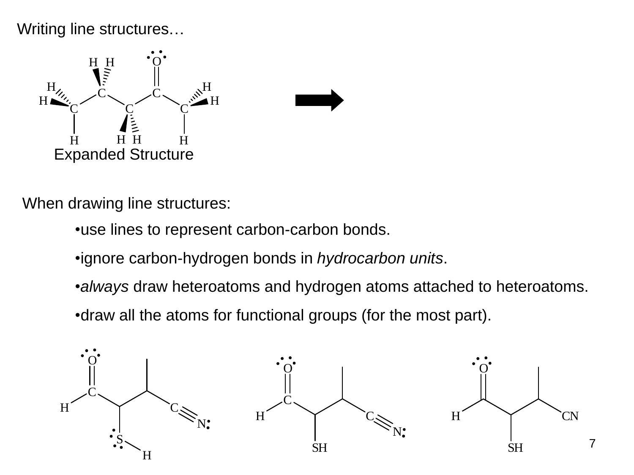Writing line structures…



When drawing line structures:

- •use lines to represent carbon-carbon bonds.
- •ignore carbon-hydrogen bonds in *hydrocarbon units*.
- •*always* draw heteroatoms and hydrogen atoms attached to heteroatoms.
- •draw all the atoms for functional groups (for the most part).

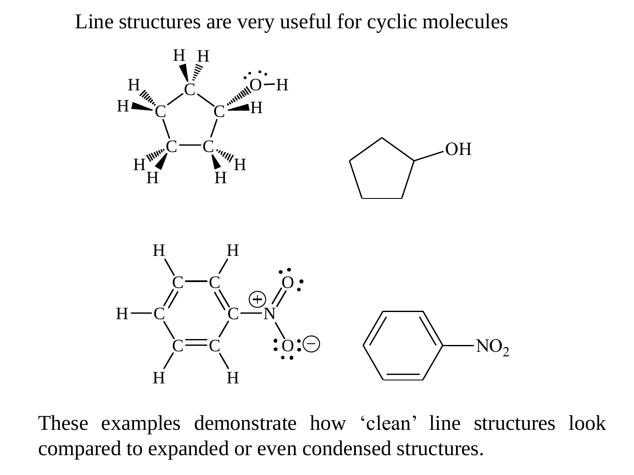Line structures are very useful for cyclic molecules





These examples demonstrate how 'clean' line structures look compared to expanded or even condensed structures.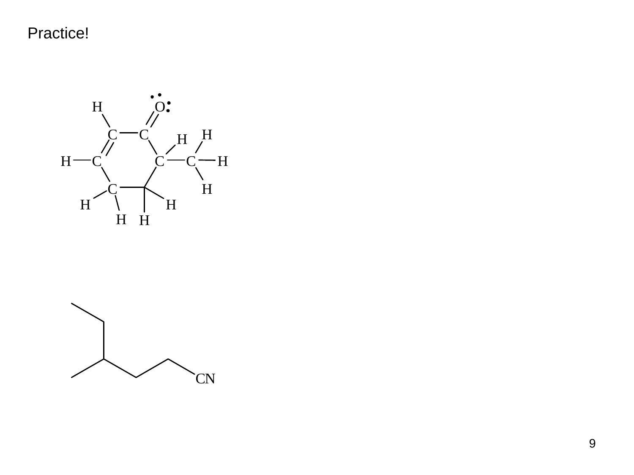Practice!





9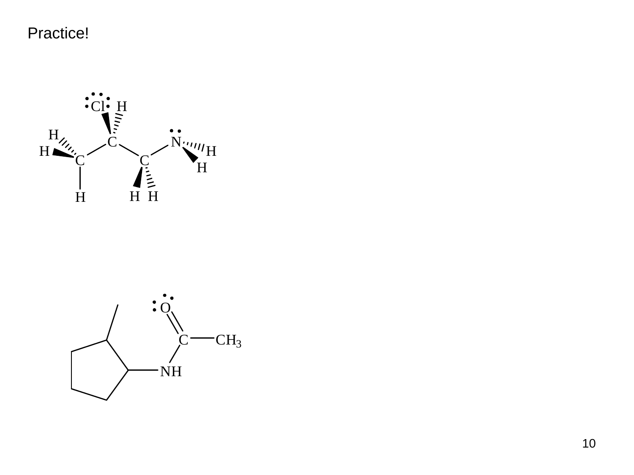Practice!



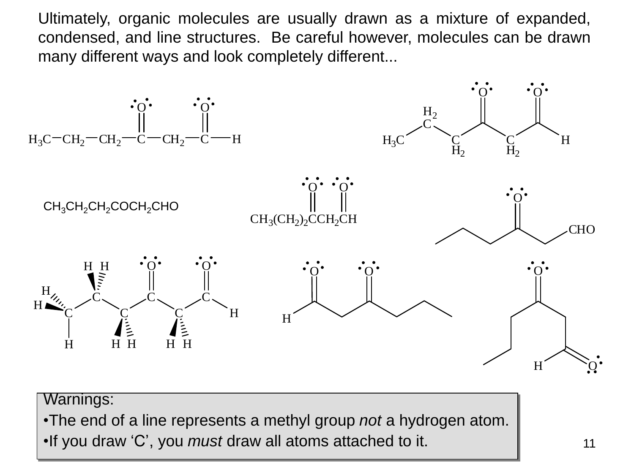Ultimately, organic molecules are usually drawn as a mixture of expanded, condensed, and line structures. Be careful however, molecules can be drawn many different ways and look completely different...



•The end of a line represents a methyl group *not* a hydrogen atom.

•If you draw 'C', you *must* draw all atoms attached to it.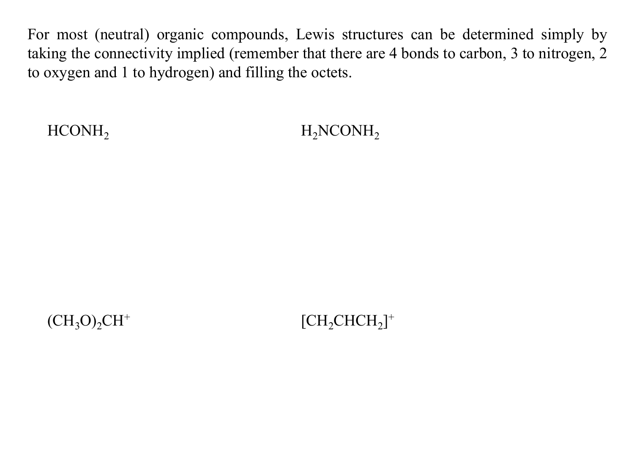For most (neutral) organic compounds, Lewis structures can be determined simply by taking the connectivity implied (remember that there are 4 bonds to carbon, 3 to nitrogen, 2 to oxygen and 1 to hydrogen) and filling the octets.

HCONH<sub>2</sub> H<sub>2</sub>NCONH<sub>2</sub>

 $(CH_3O)_2CH^+$ 

 $[CH_2CHCH_2]^+$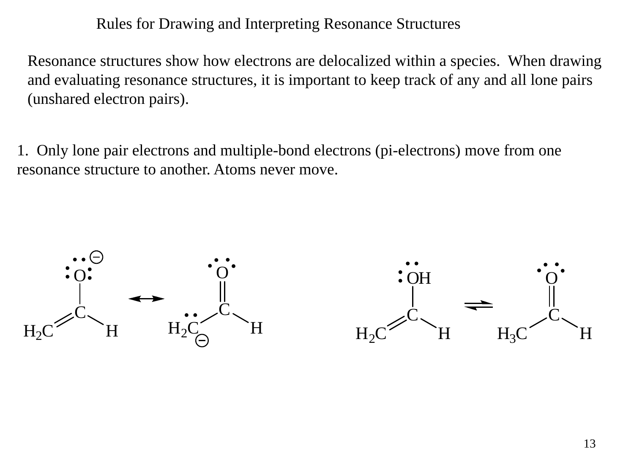Rules for Drawing and Interpreting Resonance Structures

Resonance structures show how electrons are delocalized within a species. When drawing and evaluating resonance structures, it is important to keep track of any and all lone pairs (unshared electron pairs).

1. Only lone pair electrons and multiple-bond electrons (pi-electrons) move from one resonance structure to another. Atoms never move.

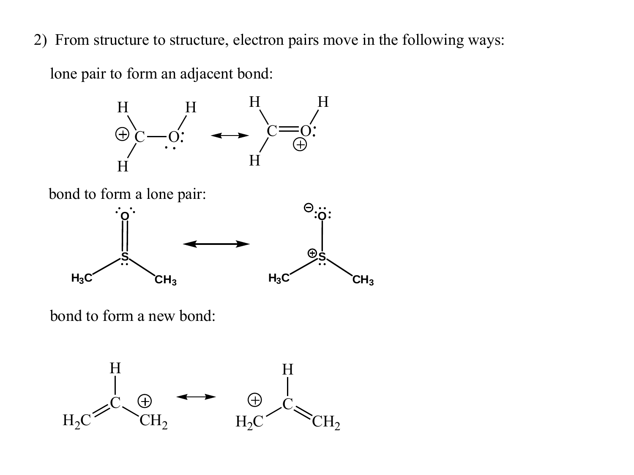2) From structure to structure, electron pairs move in the following ways:

lone pair to form an adjacent bond:





bond to form a new bond:

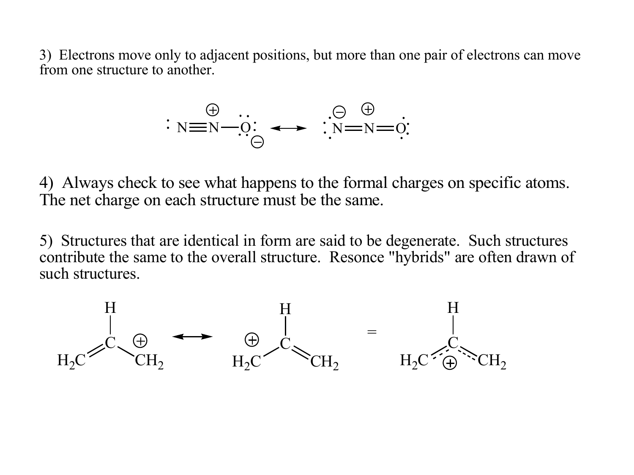3) Electrons move only to adjacent positions, but more than one pair of electrons can move from one structure to another.



4) Always check to see what happens to the formal charges on specific atoms. The net charge on each structure must be the same.

5) Structures that are identical in form are said to be degenerate. Such structures contribute the same to the overall structure. Resonce "hybrids" are often drawn of such structures.

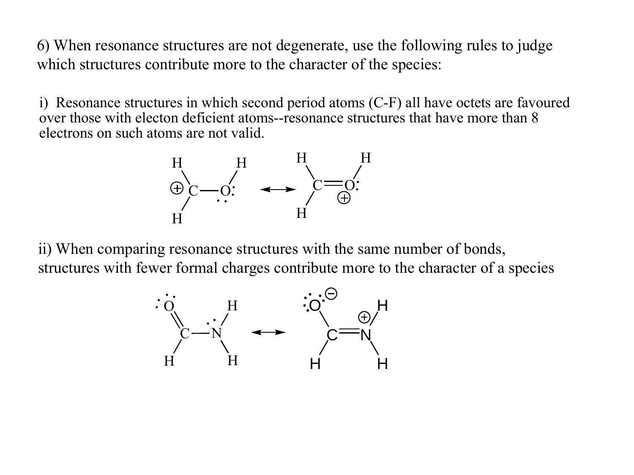6) When resonance structures are not degenerate, use the following rules to judge which structures contribute more to the character of the species:

i) Resonance structures in which second period atoms (C-F) all have octets are favoured over those with electon deficient atoms--resonance structures that have more than 8 electrons on such atoms are not valid.



ii) When comparing resonance structures with the same number of bonds, structures with fewer formal charges contribute more to the character of a spe structures with fewer formal charges contribute more to the character of a species

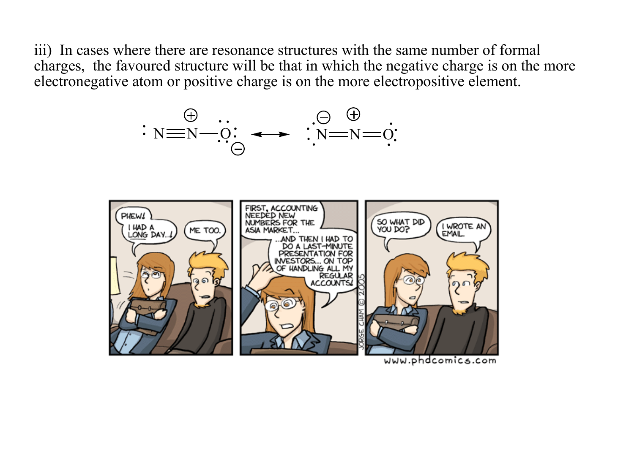iii) In cases where there are resonance structures with the same number of formal charges, the favoured structure will be that in which the negative charge is on the more electronegative atom or positive charge is on the more electropositive element.



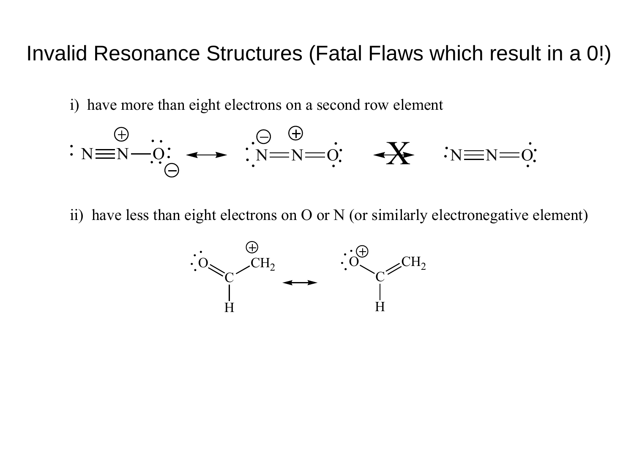## Invalid Resonance Structures (Fatal Flaws which result in a 0!)

i) have more than eight electrons on a second row element



ii) have less than eight electrons on O or N (or similarly electronegative element)

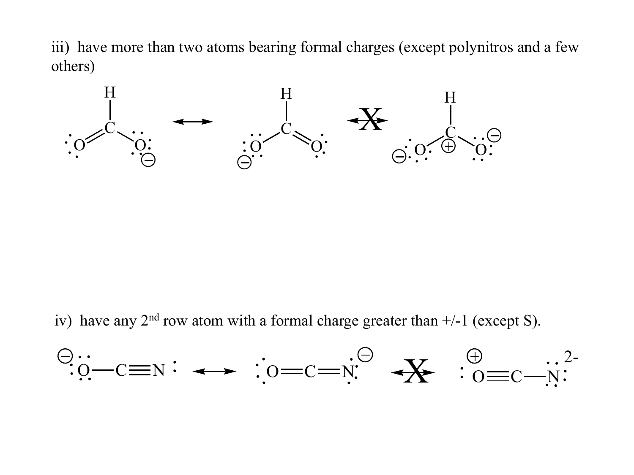iii) have more than two atoms bearing formal charges (except polynitros and a few others)



iv) have any  $2<sup>nd</sup>$  row atom with a formal charge greater than  $+/-1$  (except S).

$$
\begin{array}{ccc}\n\ominus \cdots \\
\vdots \odot -c = N \\
\end{array} \rightarrow \begin{array}{ccc}\n\vdots \odot = c = N \\
\vdots \odot = C - N\n\end{array} \rightarrow \begin{array}{ccc}\n\oplus & \cdots & 2 \\
\searrow & \odot = c - N\n\end{array}
$$